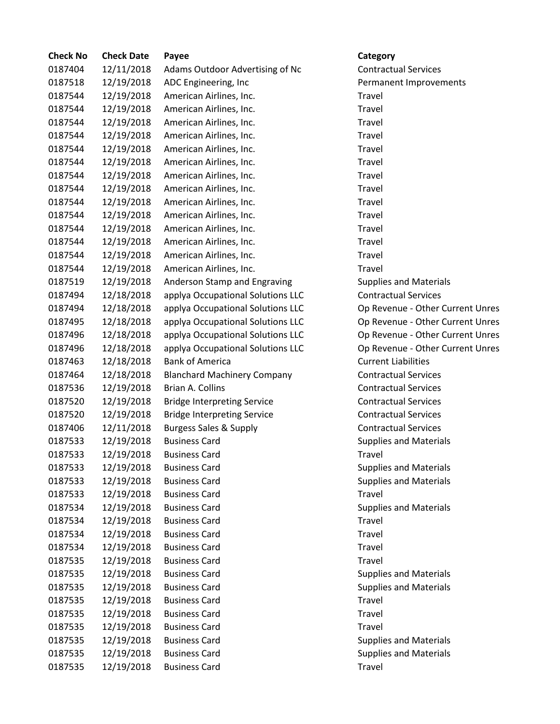| <b>Check No</b> | <b>Check Date</b> | Payee                              | Category                         |
|-----------------|-------------------|------------------------------------|----------------------------------|
| 0187404         | 12/11/2018        | Adams Outdoor Advertising of Nc    | <b>Contractual Services</b>      |
| 0187518         | 12/19/2018        | ADC Engineering, Inc               | Permanent Improvements           |
| 0187544         | 12/19/2018        | American Airlines, Inc.            | Travel                           |
| 0187544         | 12/19/2018        | American Airlines, Inc.            | Travel                           |
| 0187544         | 12/19/2018        | American Airlines, Inc.            | Travel                           |
| 0187544         | 12/19/2018        | American Airlines, Inc.            | Travel                           |
| 0187544         | 12/19/2018        | American Airlines, Inc.            | Travel                           |
| 0187544         | 12/19/2018        | American Airlines, Inc.            | Travel                           |
| 0187544         | 12/19/2018        | American Airlines, Inc.            | Travel                           |
| 0187544         | 12/19/2018        | American Airlines, Inc.            | Travel                           |
| 0187544         | 12/19/2018        | American Airlines, Inc.            | Travel                           |
| 0187544         | 12/19/2018        | American Airlines, Inc.            | Travel                           |
| 0187544         | 12/19/2018        | American Airlines, Inc.            | Travel                           |
| 0187544         | 12/19/2018        | American Airlines, Inc.            | Travel                           |
| 0187544         | 12/19/2018        | American Airlines, Inc.            | Travel                           |
| 0187544         | 12/19/2018        | American Airlines, Inc.            | Travel                           |
| 0187519         | 12/19/2018        | Anderson Stamp and Engraving       | <b>Supplies and Materials</b>    |
| 0187494         | 12/18/2018        | applya Occupational Solutions LLC  | <b>Contractual Services</b>      |
| 0187494         | 12/18/2018        | applya Occupational Solutions LLC  | Op Revenue - Other Current Unres |
| 0187495         | 12/18/2018        | applya Occupational Solutions LLC  | Op Revenue - Other Current Unres |
| 0187496         | 12/18/2018        | applya Occupational Solutions LLC  | Op Revenue - Other Current Unres |
| 0187496         | 12/18/2018        | applya Occupational Solutions LLC  | Op Revenue - Other Current Unres |
| 0187463         | 12/18/2018        | <b>Bank of America</b>             | <b>Current Liabilities</b>       |
| 0187464         | 12/18/2018        | <b>Blanchard Machinery Company</b> | <b>Contractual Services</b>      |
| 0187536         | 12/19/2018        | Brian A. Collins                   | <b>Contractual Services</b>      |
| 0187520         | 12/19/2018        | <b>Bridge Interpreting Service</b> | <b>Contractual Services</b>      |
| 0187520         | 12/19/2018        | <b>Bridge Interpreting Service</b> | <b>Contractual Services</b>      |
| 0187406         | 12/11/2018        | <b>Burgess Sales &amp; Supply</b>  | <b>Contractual Services</b>      |
| 0187533         | 12/19/2018        | <b>Business Card</b>               | <b>Supplies and Materials</b>    |
| 0187533         | 12/19/2018        | <b>Business Card</b>               | Travel                           |
| 0187533         | 12/19/2018        | <b>Business Card</b>               | <b>Supplies and Materials</b>    |
| 0187533         | 12/19/2018        | <b>Business Card</b>               | <b>Supplies and Materials</b>    |
| 0187533         | 12/19/2018        | <b>Business Card</b>               | Travel                           |
| 0187534         | 12/19/2018        | <b>Business Card</b>               | <b>Supplies and Materials</b>    |
| 0187534         | 12/19/2018        | <b>Business Card</b>               | Travel                           |
| 0187534         | 12/19/2018        | <b>Business Card</b>               | Travel                           |
| 0187534         | 12/19/2018        | <b>Business Card</b>               | Travel                           |
| 0187535         | 12/19/2018        | <b>Business Card</b>               | Travel                           |
| 0187535         | 12/19/2018        | <b>Business Card</b>               | <b>Supplies and Materials</b>    |
| 0187535         | 12/19/2018        | <b>Business Card</b>               | <b>Supplies and Materials</b>    |
| 0187535         | 12/19/2018        | <b>Business Card</b>               | Travel                           |
| 0187535         | 12/19/2018        | <b>Business Card</b>               | Travel                           |
| 0187535         | 12/19/2018        | <b>Business Card</b>               | Travel                           |
| 0187535         | 12/19/2018        | <b>Business Card</b>               | <b>Supplies and Materials</b>    |
| 0187535         | 12/19/2018        | <b>Business Card</b>               | <b>Supplies and Materials</b>    |
| 0187535         | 12/19/2018        | <b>Business Card</b>               | Travel                           |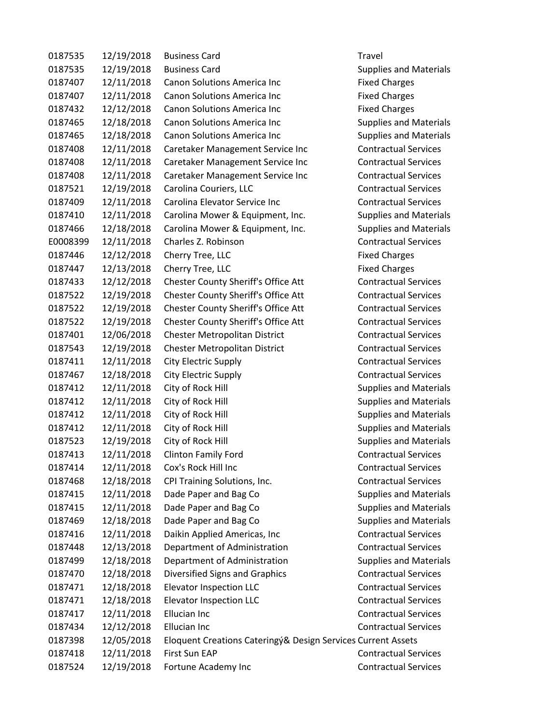| 0187535  | 12/19/2018 | <b>Business Card</b>                                         | Travel                        |
|----------|------------|--------------------------------------------------------------|-------------------------------|
| 0187535  | 12/19/2018 | <b>Business Card</b>                                         | <b>Supplies and Materials</b> |
| 0187407  | 12/11/2018 | <b>Canon Solutions America Inc</b>                           | <b>Fixed Charges</b>          |
| 0187407  | 12/11/2018 | <b>Canon Solutions America Inc</b>                           | <b>Fixed Charges</b>          |
| 0187432  | 12/12/2018 | <b>Canon Solutions America Inc</b>                           | <b>Fixed Charges</b>          |
| 0187465  | 12/18/2018 | <b>Canon Solutions America Inc</b>                           | <b>Supplies and Materials</b> |
| 0187465  | 12/18/2018 | <b>Canon Solutions America Inc</b>                           | <b>Supplies and Materials</b> |
| 0187408  | 12/11/2018 | Caretaker Management Service Inc                             | <b>Contractual Services</b>   |
| 0187408  | 12/11/2018 | Caretaker Management Service Inc                             | <b>Contractual Services</b>   |
| 0187408  | 12/11/2018 | Caretaker Management Service Inc                             | <b>Contractual Services</b>   |
| 0187521  | 12/19/2018 | Carolina Couriers, LLC                                       | <b>Contractual Services</b>   |
| 0187409  | 12/11/2018 | Carolina Elevator Service Inc                                | <b>Contractual Services</b>   |
| 0187410  | 12/11/2018 | Carolina Mower & Equipment, Inc.                             | <b>Supplies and Materials</b> |
| 0187466  | 12/18/2018 | Carolina Mower & Equipment, Inc.                             | <b>Supplies and Materials</b> |
| E0008399 | 12/11/2018 | Charles Z. Robinson                                          | <b>Contractual Services</b>   |
| 0187446  | 12/12/2018 | Cherry Tree, LLC                                             | <b>Fixed Charges</b>          |
| 0187447  | 12/13/2018 | Cherry Tree, LLC                                             | <b>Fixed Charges</b>          |
| 0187433  | 12/12/2018 | Chester County Sheriff's Office Att                          | <b>Contractual Services</b>   |
| 0187522  | 12/19/2018 | Chester County Sheriff's Office Att                          | <b>Contractual Services</b>   |
| 0187522  | 12/19/2018 | Chester County Sheriff's Office Att                          | <b>Contractual Services</b>   |
| 0187522  | 12/19/2018 | Chester County Sheriff's Office Att                          | <b>Contractual Services</b>   |
| 0187401  | 12/06/2018 | Chester Metropolitan District                                | <b>Contractual Services</b>   |
| 0187543  | 12/19/2018 | Chester Metropolitan District                                | <b>Contractual Services</b>   |
| 0187411  | 12/11/2018 | City Electric Supply                                         | <b>Contractual Services</b>   |
| 0187467  | 12/18/2018 | City Electric Supply                                         | <b>Contractual Services</b>   |
| 0187412  | 12/11/2018 | City of Rock Hill                                            | <b>Supplies and Materials</b> |
| 0187412  | 12/11/2018 | City of Rock Hill                                            | <b>Supplies and Materials</b> |
| 0187412  | 12/11/2018 | City of Rock Hill                                            | <b>Supplies and Materials</b> |
| 0187412  | 12/11/2018 | City of Rock Hill                                            | <b>Supplies and Materials</b> |
| 0187523  | 12/19/2018 | City of Rock Hill                                            | <b>Supplies and Materials</b> |
| 0187413  | 12/11/2018 | Clinton Family Ford                                          | <b>Contractual Services</b>   |
| 0187414  | 12/11/2018 | Cox's Rock Hill Inc                                          | <b>Contractual Services</b>   |
| 0187468  | 12/18/2018 | CPI Training Solutions, Inc.                                 | <b>Contractual Services</b>   |
| 0187415  | 12/11/2018 | Dade Paper and Bag Co                                        | <b>Supplies and Materials</b> |
| 0187415  | 12/11/2018 | Dade Paper and Bag Co                                        | <b>Supplies and Materials</b> |
| 0187469  | 12/18/2018 | Dade Paper and Bag Co                                        | <b>Supplies and Materials</b> |
| 0187416  | 12/11/2018 | Daikin Applied Americas, Inc                                 | <b>Contractual Services</b>   |
| 0187448  | 12/13/2018 | Department of Administration                                 | <b>Contractual Services</b>   |
| 0187499  | 12/18/2018 | Department of Administration                                 | <b>Supplies and Materials</b> |
| 0187470  | 12/18/2018 | Diversified Signs and Graphics                               | <b>Contractual Services</b>   |
| 0187471  | 12/18/2018 | Elevator Inspection LLC                                      | <b>Contractual Services</b>   |
| 0187471  | 12/18/2018 | Elevator Inspection LLC                                      | <b>Contractual Services</b>   |
| 0187417  | 12/11/2018 | <b>Ellucian Inc</b>                                          | <b>Contractual Services</b>   |
| 0187434  | 12/12/2018 | <b>Ellucian Inc</b>                                          | <b>Contractual Services</b>   |
| 0187398  | 12/05/2018 | Eloquent Creations Cateringy& Design Services Current Assets |                               |
| 0187418  | 12/11/2018 | First Sun EAP                                                | <b>Contractual Services</b>   |
| 0187524  | 12/19/2018 |                                                              | <b>Contractual Services</b>   |
|          |            | Fortune Academy Inc                                          |                               |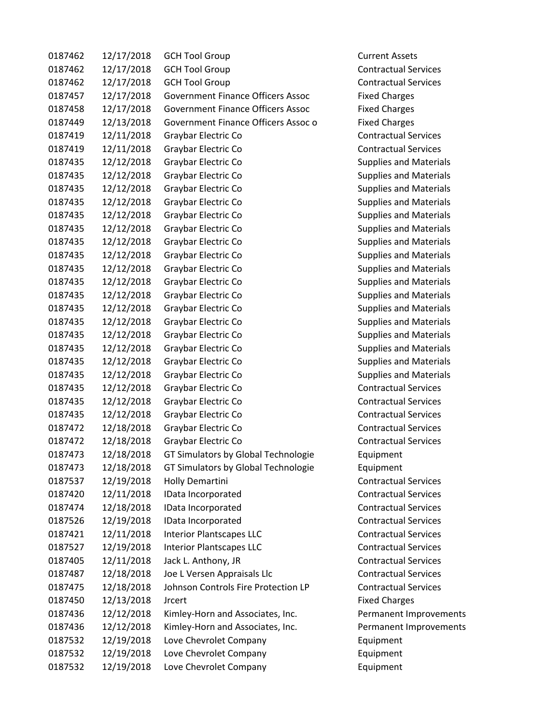| 0187462 | 12/17/2018 | <b>GCH Tool Group</b>                    | <b>Current Assets</b>         |
|---------|------------|------------------------------------------|-------------------------------|
| 0187462 | 12/17/2018 | <b>GCH Tool Group</b>                    | <b>Contractual Services</b>   |
| 0187462 | 12/17/2018 | <b>GCH Tool Group</b>                    | <b>Contractual Services</b>   |
| 0187457 | 12/17/2018 | <b>Government Finance Officers Assoc</b> | <b>Fixed Charges</b>          |
| 0187458 | 12/17/2018 | <b>Government Finance Officers Assoc</b> | <b>Fixed Charges</b>          |
| 0187449 | 12/13/2018 | Government Finance Officers Assoc o      | <b>Fixed Charges</b>          |
| 0187419 | 12/11/2018 | Graybar Electric Co                      | <b>Contractual Services</b>   |
| 0187419 | 12/11/2018 | Graybar Electric Co                      | <b>Contractual Services</b>   |
| 0187435 | 12/12/2018 | Graybar Electric Co                      | <b>Supplies and Materials</b> |
| 0187435 | 12/12/2018 | Graybar Electric Co                      | <b>Supplies and Materials</b> |
| 0187435 | 12/12/2018 | Graybar Electric Co                      | <b>Supplies and Materials</b> |
| 0187435 | 12/12/2018 | Graybar Electric Co                      | <b>Supplies and Materials</b> |
| 0187435 | 12/12/2018 | Graybar Electric Co                      | <b>Supplies and Materials</b> |
| 0187435 | 12/12/2018 | Graybar Electric Co                      | <b>Supplies and Materials</b> |
| 0187435 | 12/12/2018 | Graybar Electric Co                      | <b>Supplies and Materials</b> |
| 0187435 | 12/12/2018 | Graybar Electric Co                      | <b>Supplies and Materials</b> |
| 0187435 | 12/12/2018 | Graybar Electric Co                      | <b>Supplies and Materials</b> |
| 0187435 | 12/12/2018 | Graybar Electric Co                      | <b>Supplies and Materials</b> |
| 0187435 | 12/12/2018 | Graybar Electric Co                      | <b>Supplies and Materials</b> |
| 0187435 | 12/12/2018 | Graybar Electric Co                      | <b>Supplies and Materials</b> |
| 0187435 | 12/12/2018 | Graybar Electric Co                      | <b>Supplies and Materials</b> |
| 0187435 | 12/12/2018 | Graybar Electric Co                      | <b>Supplies and Materials</b> |
| 0187435 | 12/12/2018 | Graybar Electric Co                      | <b>Supplies and Materials</b> |
| 0187435 | 12/12/2018 | Graybar Electric Co                      | <b>Supplies and Materials</b> |
| 0187435 | 12/12/2018 | Graybar Electric Co                      | <b>Supplies and Materials</b> |
| 0187435 | 12/12/2018 | Graybar Electric Co                      | <b>Contractual Services</b>   |
| 0187435 | 12/12/2018 | Graybar Electric Co                      | <b>Contractual Services</b>   |
| 0187435 | 12/12/2018 | Graybar Electric Co                      | <b>Contractual Services</b>   |
| 0187472 | 12/18/2018 | Graybar Electric Co                      | <b>Contractual Services</b>   |
| 0187472 | 12/18/2018 | Graybar Electric Co                      | <b>Contractual Services</b>   |
| 0187473 | 12/18/2018 | GT Simulators by Global Technologie      | Equipment                     |
| 0187473 | 12/18/2018 | GT Simulators by Global Technologie      | Equipment                     |
| 0187537 | 12/19/2018 | Holly Demartini                          | <b>Contractual Services</b>   |
| 0187420 | 12/11/2018 | IData Incorporated                       | <b>Contractual Services</b>   |
| 0187474 | 12/18/2018 | IData Incorporated                       | <b>Contractual Services</b>   |
| 0187526 | 12/19/2018 | IData Incorporated                       | <b>Contractual Services</b>   |
| 0187421 | 12/11/2018 | <b>Interior Plantscapes LLC</b>          | <b>Contractual Services</b>   |
| 0187527 | 12/19/2018 | <b>Interior Plantscapes LLC</b>          | <b>Contractual Services</b>   |
| 0187405 | 12/11/2018 | Jack L. Anthony, JR                      | <b>Contractual Services</b>   |
| 0187487 | 12/18/2018 | Joe L Versen Appraisals Llc              | <b>Contractual Services</b>   |
| 0187475 | 12/18/2018 | Johnson Controls Fire Protection LP      | <b>Contractual Services</b>   |
| 0187450 | 12/13/2018 | <b>Jrcert</b>                            | <b>Fixed Charges</b>          |
| 0187436 | 12/12/2018 | Kimley-Horn and Associates, Inc.         | Permanent Improvements        |
| 0187436 | 12/12/2018 | Kimley-Horn and Associates, Inc.         | Permanent Improvements        |
| 0187532 | 12/19/2018 | Love Chevrolet Company                   | Equipment                     |
| 0187532 | 12/19/2018 | Love Chevrolet Company                   | Equipment                     |
| 0187532 | 12/19/2018 | Love Chevrolet Company                   | Equipment                     |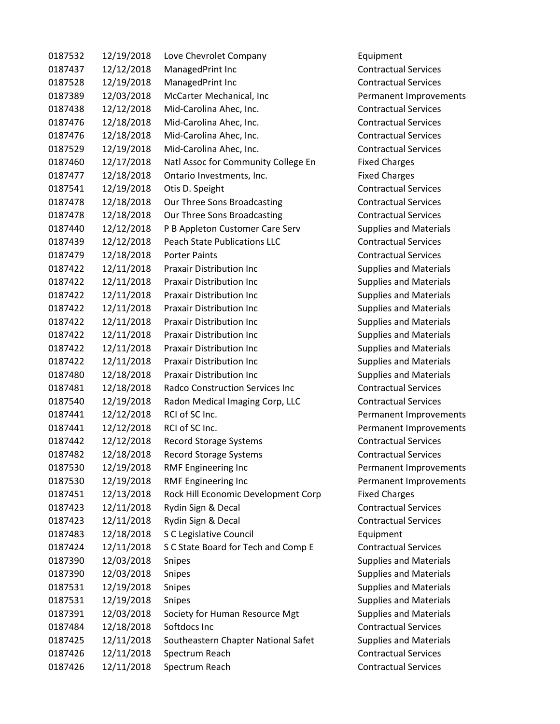| 0187532 | 12/19/2018 | Love Chevrolet Company                 |
|---------|------------|----------------------------------------|
| 0187437 | 12/12/2018 | ManagedPrint Inc                       |
| 0187528 | 12/19/2018 | ManagedPrint Inc                       |
| 0187389 | 12/03/2018 | McCarter Mechanical, Inc               |
| 0187438 | 12/12/2018 | Mid-Carolina Ahec, Inc.                |
| 0187476 | 12/18/2018 | Mid-Carolina Ahec, Inc.                |
| 0187476 | 12/18/2018 | Mid-Carolina Ahec, Inc.                |
| 0187529 | 12/19/2018 | Mid-Carolina Ahec, Inc.                |
| 0187460 | 12/17/2018 | Natl Assoc for Community College En    |
| 0187477 | 12/18/2018 | Ontario Investments, Inc.              |
| 0187541 | 12/19/2018 | Otis D. Speight                        |
| 0187478 | 12/18/2018 | Our Three Sons Broadcasting            |
| 0187478 | 12/18/2018 | Our Three Sons Broadcasting            |
| 0187440 | 12/12/2018 | P B Appleton Customer Care Serv        |
| 0187439 | 12/12/2018 | <b>Peach State Publications LLC</b>    |
| 0187479 | 12/18/2018 | <b>Porter Paints</b>                   |
| 0187422 | 12/11/2018 | <b>Praxair Distribution Inc</b>        |
| 0187422 | 12/11/2018 | <b>Praxair Distribution Inc</b>        |
| 0187422 | 12/11/2018 | <b>Praxair Distribution Inc</b>        |
| 0187422 | 12/11/2018 | <b>Praxair Distribution Inc</b>        |
| 0187422 | 12/11/2018 | <b>Praxair Distribution Inc</b>        |
| 0187422 | 12/11/2018 | <b>Praxair Distribution Inc</b>        |
| 0187422 | 12/11/2018 | <b>Praxair Distribution Inc</b>        |
| 0187422 | 12/11/2018 | <b>Praxair Distribution Inc</b>        |
| 0187480 | 12/18/2018 | <b>Praxair Distribution Inc</b>        |
| 0187481 | 12/18/2018 | <b>Radco Construction Services Inc</b> |
| 0187540 | 12/19/2018 | Radon Medical Imaging Corp, LLC        |
| 0187441 | 12/12/2018 | RCI of SC Inc.                         |
| 0187441 | 12/12/2018 | RCI of SC Inc.                         |
| 0187442 | 12/12/2018 | <b>Record Storage Systems</b>          |
| 0187482 | 12/18/2018 | <b>Record Storage Systems</b>          |
| 0187530 | 12/19/2018 | <b>RMF Engineering Inc</b>             |
| 0187530 | 12/19/2018 | <b>RMF Engineering Inc</b>             |
| 0187451 | 12/13/2018 | Rock Hill Economic Development Corp    |
| 0187423 | 12/11/2018 | Rydin Sign & Decal                     |
| 0187423 | 12/11/2018 | Rydin Sign & Decal                     |
| 0187483 | 12/18/2018 | S C Legislative Council                |
| 0187424 | 12/11/2018 | S C State Board for Tech and Comp E    |
| 0187390 | 12/03/2018 | <b>Snipes</b>                          |
| 0187390 | 12/03/2018 | Snipes                                 |
| 0187531 | 12/19/2018 | <b>Snipes</b>                          |
| 0187531 | 12/19/2018 | Snipes                                 |
| 0187391 | 12/03/2018 | Society for Human Resource Mgt         |
| 0187484 | 12/18/2018 | Softdocs Inc                           |
| 0187425 | 12/11/2018 | Southeastern Chapter National Safet    |
| 0187426 | 12/11/2018 | Spectrum Reach                         |
| 0187426 | 12/11/2018 | Spectrum Reach                         |

Equipment Contractual Services Contractual Services Permanent Improvements Contractual Services Contractual Services Contractual Services Contractual Services Fixed Charges Fixed Charges Contractual Services Contractual Services Contractual Services Supplies and Materials Contractual Services Contractual Services Supplies and Materials Supplies and Materials Supplies and Materials Supplies and Materials Supplies and Materials Supplies and Materials Supplies and Materials Supplies and Materials Supplies and Materials Contractual Services Contractual Services Permanent Improvements Permanent Improvements Contractual Services Contractual Services Permanent Improvements Permanent Improvements Fixed Charges Contractual Services Contractual Services Equipment Contractual Services Supplies and Materials Supplies and Materials Supplies and Materials Supplies and Materials Supplies and Materials Contractual Services Supplies and Materials Contractual Services Contractual Services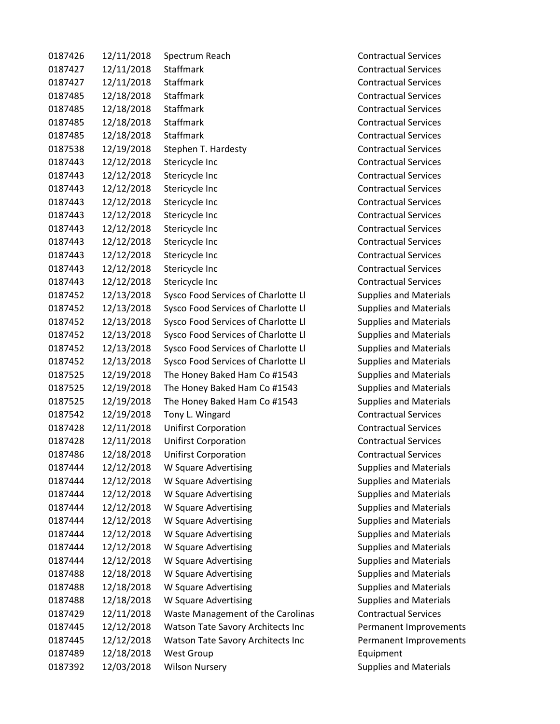| 0187426 | 12/11/2018 | Spectrum Reach                           |
|---------|------------|------------------------------------------|
| 0187427 | 12/11/2018 | <b>Staffmark</b>                         |
| 0187427 | 12/11/2018 | Staffmark                                |
| 0187485 | 12/18/2018 | <b>Staffmark</b>                         |
| 0187485 | 12/18/2018 | <b>Staffmark</b>                         |
| 0187485 | 12/18/2018 | <b>Staffmark</b>                         |
| 0187485 | 12/18/2018 | Staffmark                                |
| 0187538 | 12/19/2018 | Stephen T. Hardesty                      |
| 0187443 | 12/12/2018 | Stericycle Inc                           |
| 0187443 | 12/12/2018 | Stericycle Inc                           |
| 0187443 | 12/12/2018 | Stericycle Inc                           |
| 0187443 | 12/12/2018 | Stericycle Inc                           |
| 0187443 | 12/12/2018 | Stericycle Inc                           |
| 0187443 | 12/12/2018 | Stericycle Inc                           |
| 0187443 | 12/12/2018 | Stericycle Inc                           |
| 0187443 | 12/12/2018 | Stericycle Inc                           |
| 0187443 | 12/12/2018 | Stericycle Inc                           |
| 0187443 | 12/12/2018 | Stericycle Inc                           |
| 0187452 | 12/13/2018 | Sysco Food Services of Charlotte Ll      |
| 0187452 | 12/13/2018 | Sysco Food Services of Charlotte Ll      |
| 0187452 | 12/13/2018 | Sysco Food Services of Charlotte Ll      |
| 0187452 | 12/13/2018 | Sysco Food Services of Charlotte Ll      |
| 0187452 | 12/13/2018 | Sysco Food Services of Charlotte Ll      |
| 0187452 | 12/13/2018 | Sysco Food Services of Charlotte Ll      |
| 0187525 | 12/19/2018 | The Honey Baked Ham Co #1543             |
| 0187525 | 12/19/2018 | The Honey Baked Ham Co #1543             |
| 0187525 | 12/19/2018 | The Honey Baked Ham Co #1543             |
| 0187542 | 12/19/2018 | Tony L. Wingard                          |
| 0187428 | 12/11/2018 | <b>Unifirst Corporation</b>              |
| 0187428 | 12/11/2018 | <b>Unifirst Corporation</b>              |
| 0187486 | 12/18/2018 | <b>Unifirst Corporation</b>              |
| 0187444 | 12/12/2018 | W Square Advertising                     |
| 0187444 | 12/12/2018 | W Square Advertising                     |
| 0187444 | 12/12/2018 | W Square Advertising                     |
| 0187444 | 12/12/2018 | W Square Advertising                     |
| 0187444 | 12/12/2018 | W Square Advertising                     |
| 0187444 | 12/12/2018 | W Square Advertising                     |
| 0187444 | 12/12/2018 | W Square Advertising                     |
| 0187444 | 12/12/2018 | W Square Advertising                     |
| 0187488 | 12/18/2018 | W Square Advertising                     |
| 0187488 | 12/18/2018 | W Square Advertising                     |
| 0187488 | 12/18/2018 | W Square Advertising                     |
| 0187429 | 12/11/2018 | Waste Management of the Carolinas        |
| 0187445 | 12/12/2018 | Watson Tate Savory Architects Inc        |
| 0187445 | 12/12/2018 | <b>Watson Tate Savory Architects Inc</b> |
| 0187489 | 12/18/2018 | <b>West Group</b>                        |
| 0187392 | 12/03/2018 | <b>Wilson Nursery</b>                    |

Contractual Services Contractual Services Contractual Services Contractual Services Contractual Services Contractual Services Contractual Services Contractual Services Contractual Services Contractual Services Contractual Services Contractual Services Contractual Services Contractual Services Contractual Services Contractual Services Contractual Services Contractual Services Supplies and Materials Supplies and Materials Supplies and Materials Supplies and Materials Supplies and Materials Supplies and Materials Supplies and Materials Supplies and Materials Supplies and Materials Contractual Services Contractual Services Contractual Services Contractual Services Supplies and Materials Supplies and Materials Supplies and Materials Supplies and Materials Supplies and Materials Supplies and Materials Supplies and Materials Supplies and Materials Supplies and Materials Supplies and Materials Supplies and Materials Contractual Services Permanent Improvements Permanent Improvements **Equipment** Supplies and Materials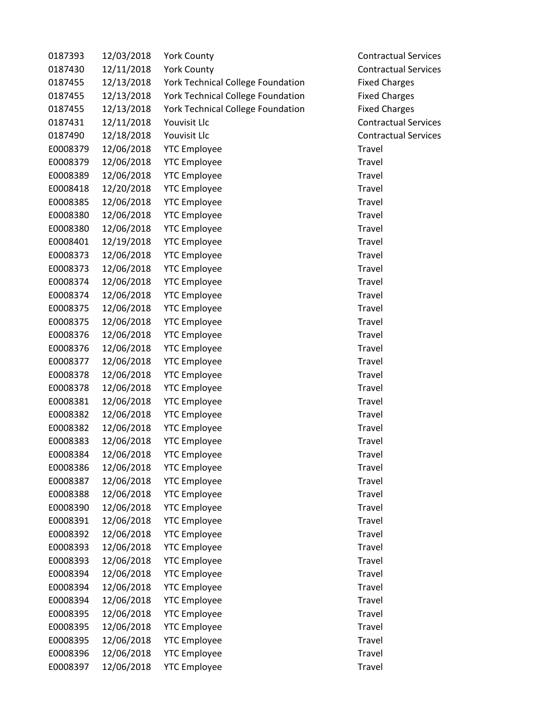| 0187393  | 12/03/2018 | <b>York County</b>                       | <b>Contractual Services</b> |
|----------|------------|------------------------------------------|-----------------------------|
| 0187430  | 12/11/2018 | <b>York County</b>                       | <b>Contractual Services</b> |
| 0187455  | 12/13/2018 | <b>York Technical College Foundation</b> | <b>Fixed Charges</b>        |
| 0187455  | 12/13/2018 | York Technical College Foundation        | <b>Fixed Charges</b>        |
| 0187455  | 12/13/2018 | <b>York Technical College Foundation</b> | <b>Fixed Charges</b>        |
| 0187431  | 12/11/2018 | Youvisit Llc                             | <b>Contractual Services</b> |
| 0187490  | 12/18/2018 | Youvisit Llc                             | <b>Contractual Services</b> |
| E0008379 | 12/06/2018 | <b>YTC Employee</b>                      | Travel                      |
| E0008379 | 12/06/2018 | <b>YTC Employee</b>                      | Travel                      |
| E0008389 | 12/06/2018 | <b>YTC Employee</b>                      | Travel                      |
| E0008418 | 12/20/2018 | <b>YTC Employee</b>                      | Travel                      |
| E0008385 | 12/06/2018 | <b>YTC Employee</b>                      | Travel                      |
| E0008380 | 12/06/2018 | <b>YTC Employee</b>                      | Travel                      |
| E0008380 | 12/06/2018 | <b>YTC Employee</b>                      | Travel                      |
| E0008401 | 12/19/2018 | <b>YTC Employee</b>                      | Travel                      |
| E0008373 | 12/06/2018 | <b>YTC Employee</b>                      | Travel                      |
| E0008373 | 12/06/2018 | <b>YTC Employee</b>                      | Travel                      |
| E0008374 | 12/06/2018 | <b>YTC Employee</b>                      | Travel                      |
| E0008374 | 12/06/2018 | <b>YTC Employee</b>                      | Travel                      |
| E0008375 | 12/06/2018 | <b>YTC Employee</b>                      | Travel                      |
| E0008375 | 12/06/2018 | <b>YTC Employee</b>                      | Travel                      |
| E0008376 | 12/06/2018 | <b>YTC Employee</b>                      | Travel                      |
| E0008376 | 12/06/2018 | <b>YTC Employee</b>                      | Travel                      |
| E0008377 | 12/06/2018 | <b>YTC Employee</b>                      | Travel                      |
| E0008378 | 12/06/2018 | <b>YTC Employee</b>                      | Travel                      |
| E0008378 | 12/06/2018 | <b>YTC Employee</b>                      | Travel                      |
| E0008381 | 12/06/2018 | <b>YTC Employee</b>                      | Travel                      |
| E0008382 | 12/06/2018 | <b>YTC Employee</b>                      | Travel                      |
| E0008382 | 12/06/2018 | <b>YTC Employee</b>                      | Travel                      |
| E0008383 | 12/06/2018 | <b>YTC Employee</b>                      | Travel                      |
| E0008384 | 12/06/2018 | <b>YTC Employee</b>                      | Travel                      |
| E0008386 | 12/06/2018 | <b>YTC Employee</b>                      | Travel                      |
| E0008387 | 12/06/2018 | <b>YTC Employee</b>                      | Travel                      |
| E0008388 | 12/06/2018 | <b>YTC Employee</b>                      | Travel                      |
| E0008390 | 12/06/2018 | <b>YTC Employee</b>                      | Travel                      |
| E0008391 | 12/06/2018 | <b>YTC Employee</b>                      | Travel                      |
| E0008392 | 12/06/2018 | <b>YTC Employee</b>                      | Travel                      |
| E0008393 | 12/06/2018 | <b>YTC Employee</b>                      | Travel                      |
| E0008393 | 12/06/2018 | <b>YTC Employee</b>                      | Travel                      |
| E0008394 | 12/06/2018 | <b>YTC Employee</b>                      | Travel                      |
| E0008394 | 12/06/2018 | <b>YTC Employee</b>                      | Travel                      |
| E0008394 | 12/06/2018 | <b>YTC Employee</b>                      | Travel                      |
| E0008395 | 12/06/2018 | <b>YTC Employee</b>                      | Travel                      |
| E0008395 | 12/06/2018 | <b>YTC Employee</b>                      | Travel                      |
| E0008395 | 12/06/2018 | <b>YTC Employee</b>                      | Travel                      |
| E0008396 | 12/06/2018 | <b>YTC Employee</b>                      | Travel                      |
| E0008397 | 12/06/2018 | <b>YTC Employee</b>                      | Travel                      |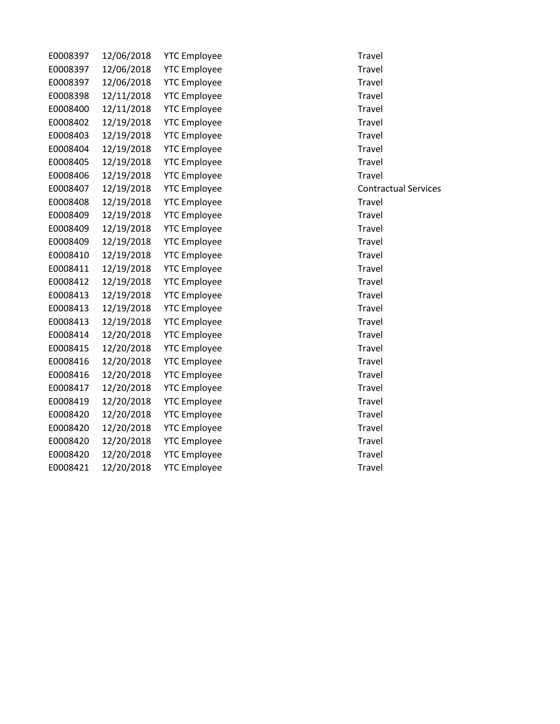| E0008397 | 12/06/2018 | <b>YTC Employee</b> | Travel |
|----------|------------|---------------------|--------|
| E0008397 | 12/06/2018 | <b>YTC Employee</b> | Travel |
| E0008397 | 12/06/2018 | <b>YTC Employee</b> | Travel |
| E0008398 | 12/11/2018 | <b>YTC Employee</b> | Travel |
| E0008400 | 12/11/2018 | <b>YTC Employee</b> | Travel |
| E0008402 | 12/19/2018 | <b>YTC Employee</b> | Travel |
| E0008403 | 12/19/2018 | <b>YTC Employee</b> | Travel |
| E0008404 | 12/19/2018 | <b>YTC Employee</b> | Travel |
| E0008405 | 12/19/2018 | <b>YTC Employee</b> | Travel |
| E0008406 | 12/19/2018 | <b>YTC Employee</b> | Travel |
| E0008407 | 12/19/2018 | <b>YTC Employee</b> | Contra |
| E0008408 | 12/19/2018 | <b>YTC Employee</b> | Travel |
| E0008409 | 12/19/2018 | <b>YTC Employee</b> | Travel |
| E0008409 | 12/19/2018 | <b>YTC Employee</b> | Travel |
| E0008409 | 12/19/2018 | <b>YTC Employee</b> | Travel |
| E0008410 | 12/19/2018 | <b>YTC Employee</b> | Travel |
| E0008411 | 12/19/2018 | <b>YTC Employee</b> | Travel |
| E0008412 | 12/19/2018 | <b>YTC Employee</b> | Travel |
| E0008413 | 12/19/2018 | <b>YTC Employee</b> | Travel |
| E0008413 | 12/19/2018 | <b>YTC Employee</b> | Travel |
| E0008413 | 12/19/2018 | <b>YTC Employee</b> | Travel |
| E0008414 | 12/20/2018 | <b>YTC Employee</b> | Travel |
| E0008415 | 12/20/2018 | <b>YTC Employee</b> | Travel |
| E0008416 | 12/20/2018 | <b>YTC Employee</b> | Travel |
| E0008416 | 12/20/2018 | <b>YTC Employee</b> | Travel |
| E0008417 | 12/20/2018 | <b>YTC Employee</b> | Travel |
| E0008419 | 12/20/2018 | <b>YTC Employee</b> | Travel |
| E0008420 | 12/20/2018 | <b>YTC Employee</b> | Travel |
| E0008420 | 12/20/2018 | <b>YTC Employee</b> | Travel |
| E0008420 | 12/20/2018 | <b>YTC Employee</b> | Travel |
| E0008420 | 12/20/2018 | <b>YTC Employee</b> | Travel |
| E0008421 | 12/20/2018 | <b>YTC Employee</b> | Travel |
|          |            |                     |        |

e Contractual Services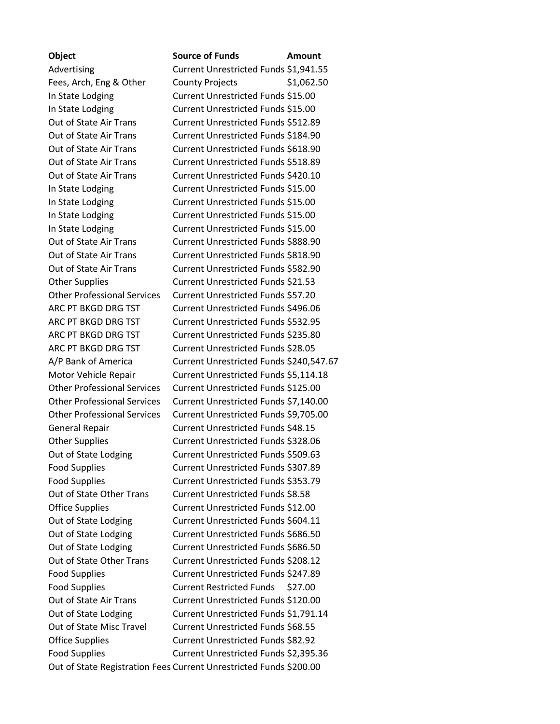**Object Source of Funds Amount** Advertising Current Unrestricted Funds \$1,941.55 Fees, Arch, Eng & Other County Projects \$1,062.50 In State Lodging Current Unrestricted Funds \$15.00 In State Lodging Current Unrestricted Funds \$15.00 Out of State Air Trans Current Unrestricted Funds \$512.89 Out of State Air Trans Current Unrestricted Funds \$184.90 Out of State Air Trans Current Unrestricted Funds \$618.90 Out of State Air Trans Current Unrestricted Funds \$518.89 Out of State Air Trans Current Unrestricted Funds \$420.10 In State Lodging Current Unrestricted Funds \$15.00 In State Lodging Current Unrestricted Funds \$15.00 In State Lodging Current Unrestricted Funds \$15.00 In State Lodging Current Unrestricted Funds \$15.00 Out of State Air Trans Current Unrestricted Funds \$888.90 Out of State Air Trans Current Unrestricted Funds \$818.90 Out of State Air Trans Current Unrestricted Funds \$582.90 Other Supplies Current Unrestricted Funds \$21.53 Other Professional Services Current Unrestricted Funds \$57.20 ARC PT BKGD DRG TST Current Unrestricted Funds \$496.06 ARC PT BKGD DRG TST Current Unrestricted Funds \$532.95 ARC PT BKGD DRG TST Current Unrestricted Funds \$235.80 ARC PT BKGD DRG TST Current Unrestricted Funds \$28.05 A/P Bank of America Current Unrestricted Funds \$240,547.67 Motor Vehicle Repair Current Unrestricted Funds \$5,114.18 Other Professional Services Current Unrestricted Funds \$125.00 Other Professional Services Current Unrestricted Funds \$7,140.00 Other Professional Services Current Unrestricted Funds \$9,705.00 General Repair Current Unrestricted Funds \$48.15 Other Supplies Current Unrestricted Funds \$328.06 Out of State Lodging Current Unrestricted Funds \$509.63 Food Supplies Current Unrestricted Funds \$307.89 Food Supplies **Current Unrestricted Funds \$353.79** Out of State Other Trans Current Unrestricted Funds \$8.58 Office Supplies Current Unrestricted Funds \$12.00 Out of State Lodging Current Unrestricted Funds \$604.11 Out of State Lodging Current Unrestricted Funds \$686.50 Out of State Lodging Current Unrestricted Funds \$686.50 Out of State Other Trans Current Unrestricted Funds \$208.12 Food Supplies Current Unrestricted Funds \$247.89 Food Supplies Current Restricted Funds \$27.00 Out of State Air Trans Current Unrestricted Funds \$120.00 Out of State Lodging Current Unrestricted Funds \$1,791.14 Out of State Misc Travel Current Unrestricted Funds \$68.55 Office Supplies Current Unrestricted Funds \$82.92 Food Supplies Current Unrestricted Funds \$2,395.36 Out of State Registration Fees Current Unrestricted Funds \$200.00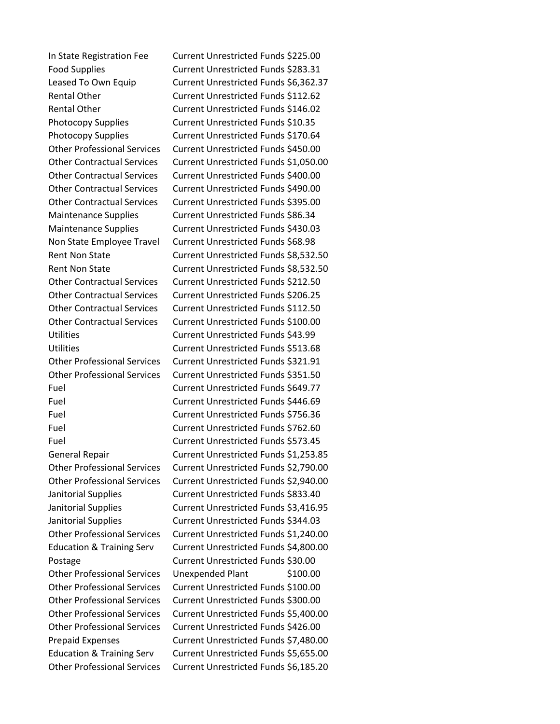In State Registration Fee Current Unrestricted Funds \$225.00 Food Supplies **Current Unrestricted Funds \$283.31** Leased To Own Equip Current Unrestricted Funds \$6,362.37 Rental Other **Current Unrestricted Funds** \$112.62 Rental Other Current Unrestricted Funds \$146.02 Photocopy Supplies Current Unrestricted Funds \$10.35 Photocopy Supplies Current Unrestricted Funds \$170.64 Other Professional Services Current Unrestricted Funds \$450.00 Other Contractual Services Current Unrestricted Funds \$1,050.00 Other Contractual Services Current Unrestricted Funds \$400.00 Other Contractual Services Current Unrestricted Funds \$490.00 Other Contractual Services Current Unrestricted Funds \$395.00 Maintenance Supplies Current Unrestricted Funds \$86.34 Maintenance Supplies Current Unrestricted Funds \$430.03 Non State Employee Travel Current Unrestricted Funds \$68.98 Rent Non State Current Unrestricted Funds \$8,532.50 Rent Non State Current Unrestricted Funds \$8,532.50 Other Contractual Services Current Unrestricted Funds \$212.50 Other Contractual Services Current Unrestricted Funds \$206.25 Other Contractual Services Current Unrestricted Funds \$112.50 Other Contractual Services Current Unrestricted Funds \$100.00 Utilities Current Unrestricted Funds \$43.99 Utilities Current Unrestricted Funds \$513.68 Other Professional Services Current Unrestricted Funds \$321.91 Other Professional Services Current Unrestricted Funds \$351.50 Fuel Current Unrestricted Funds \$649.77 Fuel Current Unrestricted Funds \$446.69 Fuel Current Unrestricted Funds \$756.36 Fuel Current Unrestricted Funds \$762.60 Fuel Current Unrestricted Funds \$573.45 General Repair Current Unrestricted Funds \$1,253.85 Other Professional Services Current Unrestricted Funds \$2,790.00 Other Professional Services Current Unrestricted Funds \$2,940.00 Janitorial Supplies Current Unrestricted Funds \$833.40 Janitorial Supplies Current Unrestricted Funds \$3,416.95 Janitorial Supplies Current Unrestricted Funds \$344.03 Other Professional Services Current Unrestricted Funds \$1,240.00 Education & Training Serv Current Unrestricted Funds \$4,800.00 Postage Current Unrestricted Funds \$30.00 Other Professional Services Unexpended Plant \$100.00 Other Professional Services Current Unrestricted Funds \$100.00 Other Professional Services Current Unrestricted Funds \$300.00 Other Professional Services Current Unrestricted Funds \$5,400.00 Other Professional Services Current Unrestricted Funds \$426.00 Prepaid Expenses Current Unrestricted Funds \$7,480.00 Education & Training Serv Current Unrestricted Funds \$5,655.00 Other Professional Services Current Unrestricted Funds \$6,185.20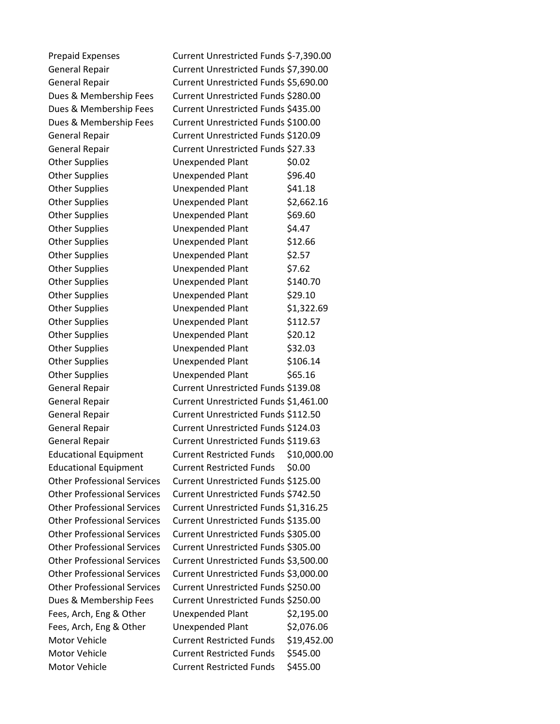| <b>Prepaid Expenses</b>            | Current Unrestricted Funds \$-7,390.00 |             |
|------------------------------------|----------------------------------------|-------------|
| <b>General Repair</b>              | Current Unrestricted Funds \$7,390.00  |             |
| <b>General Repair</b>              | Current Unrestricted Funds \$5,690.00  |             |
| Dues & Membership Fees             | Current Unrestricted Funds \$280.00    |             |
| Dues & Membership Fees             | Current Unrestricted Funds \$435.00    |             |
| Dues & Membership Fees             | Current Unrestricted Funds \$100.00    |             |
| <b>General Repair</b>              | Current Unrestricted Funds \$120.09    |             |
| <b>General Repair</b>              | Current Unrestricted Funds \$27.33     |             |
| <b>Other Supplies</b>              | Unexpended Plant                       | \$0.02      |
| <b>Other Supplies</b>              | <b>Unexpended Plant</b>                | \$96.40     |
| <b>Other Supplies</b>              | Unexpended Plant                       | \$41.18     |
| <b>Other Supplies</b>              | Unexpended Plant                       | \$2,662.16  |
| <b>Other Supplies</b>              | Unexpended Plant                       | \$69.60     |
| <b>Other Supplies</b>              | Unexpended Plant                       | \$4.47      |
| <b>Other Supplies</b>              | <b>Unexpended Plant</b>                | \$12.66     |
| <b>Other Supplies</b>              | Unexpended Plant                       | \$2.57      |
| <b>Other Supplies</b>              | Unexpended Plant                       | \$7.62      |
| <b>Other Supplies</b>              | <b>Unexpended Plant</b>                | \$140.70    |
| <b>Other Supplies</b>              | Unexpended Plant                       | \$29.10     |
| <b>Other Supplies</b>              | Unexpended Plant                       | \$1,322.69  |
| <b>Other Supplies</b>              | Unexpended Plant                       | \$112.57    |
| <b>Other Supplies</b>              | Unexpended Plant                       | \$20.12     |
| <b>Other Supplies</b>              | <b>Unexpended Plant</b>                | \$32.03     |
| <b>Other Supplies</b>              | <b>Unexpended Plant</b>                | \$106.14    |
| <b>Other Supplies</b>              | Unexpended Plant                       | \$65.16     |
| <b>General Repair</b>              | Current Unrestricted Funds \$139.08    |             |
| <b>General Repair</b>              | Current Unrestricted Funds \$1,461.00  |             |
| <b>General Repair</b>              | Current Unrestricted Funds \$112.50    |             |
| <b>General Repair</b>              | Current Unrestricted Funds \$124.03    |             |
| <b>General Repair</b>              | Current Unrestricted Funds \$119.63    |             |
| <b>Educational Equipment</b>       | Current Restricted Funds \$10,000.00   |             |
| <b>Educational Equipment</b>       | <b>Current Restricted Funds</b>        | \$0.00      |
| <b>Other Professional Services</b> | Current Unrestricted Funds \$125.00    |             |
| <b>Other Professional Services</b> | Current Unrestricted Funds \$742.50    |             |
| <b>Other Professional Services</b> | Current Unrestricted Funds \$1,316.25  |             |
| <b>Other Professional Services</b> | Current Unrestricted Funds \$135.00    |             |
| <b>Other Professional Services</b> | Current Unrestricted Funds \$305.00    |             |
| <b>Other Professional Services</b> | Current Unrestricted Funds \$305.00    |             |
| <b>Other Professional Services</b> | Current Unrestricted Funds \$3,500.00  |             |
| <b>Other Professional Services</b> | Current Unrestricted Funds \$3,000.00  |             |
| <b>Other Professional Services</b> | Current Unrestricted Funds \$250.00    |             |
| Dues & Membership Fees             | Current Unrestricted Funds \$250.00    |             |
| Fees, Arch, Eng & Other            | Unexpended Plant                       | \$2,195.00  |
| Fees, Arch, Eng & Other            | Unexpended Plant                       | \$2,076.06  |
| <b>Motor Vehicle</b>               | <b>Current Restricted Funds</b>        | \$19,452.00 |
| <b>Motor Vehicle</b>               | <b>Current Restricted Funds</b>        | \$545.00    |
| Motor Vehicle                      | <b>Current Restricted Funds</b>        | \$455.00    |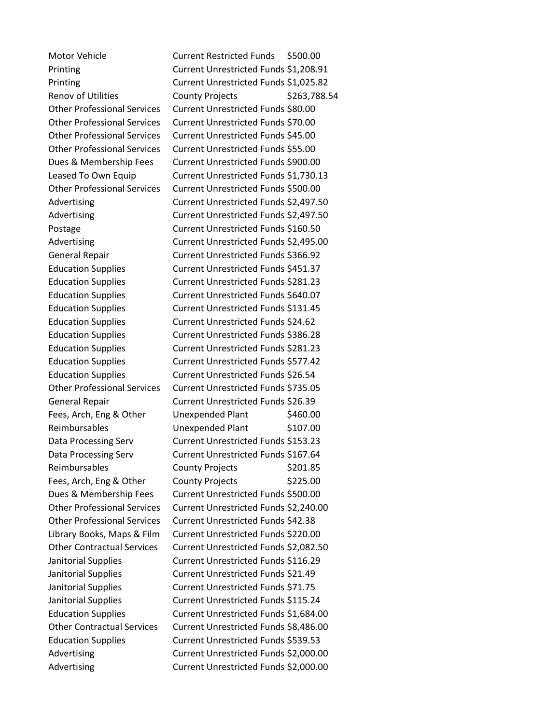Motor Vehicle **Current Restricted Funds** \$500.00 Printing Current Unrestricted Funds \$1,208.91 Printing Current Unrestricted Funds \$1,025.82 Renov of Utilities County Projects \$263,788.54 Other Professional Services Current Unrestricted Funds \$80.00 Other Professional Services Current Unrestricted Funds \$70.00 Other Professional Services Current Unrestricted Funds \$45.00 Other Professional Services Current Unrestricted Funds \$55.00 Dues & Membership Fees Current Unrestricted Funds \$900.00 Leased To Own Equip Current Unrestricted Funds \$1,730.13 Other Professional Services Current Unrestricted Funds \$500.00 Advertising Current Unrestricted Funds \$2,497.50 Advertising Current Unrestricted Funds \$2,497.50 Postage **Current Unrestricted Funds \$160.50** Advertising Current Unrestricted Funds \$2,495.00 General Repair Current Unrestricted Funds \$366.92 Education Supplies Current Unrestricted Funds \$451.37 Education Supplies Current Unrestricted Funds \$281.23 Education Supplies Current Unrestricted Funds \$640.07 Education Supplies Current Unrestricted Funds \$131.45 Education Supplies Current Unrestricted Funds \$24.62 Education Supplies Current Unrestricted Funds \$386.28 Education Supplies Current Unrestricted Funds \$281.23 Education Supplies Current Unrestricted Funds \$577.42 Education Supplies Current Unrestricted Funds \$26.54 Other Professional Services Current Unrestricted Funds \$735.05 General Repair Current Unrestricted Funds \$26.39 Fees, Arch, Eng & Other Unexpended Plant \$460.00 Reimbursables Unexpended Plant \$107.00 Data Processing Serv Current Unrestricted Funds \$153.23 Data Processing Serv Current Unrestricted Funds \$167.64 Reimbursables County Projects \$201.85 Fees, Arch, Eng & Other County Projects \$225.00 Dues & Membership Fees Current Unrestricted Funds \$500.00 Other Professional Services Current Unrestricted Funds \$2,240.00 Other Professional Services Current Unrestricted Funds \$42.38 Library Books, Maps & Film Current Unrestricted Funds \$220.00 Other Contractual Services Current Unrestricted Funds \$2,082.50 Janitorial Supplies Current Unrestricted Funds \$116.29 Janitorial Supplies Current Unrestricted Funds \$21.49 Janitorial Supplies Current Unrestricted Funds \$71.75 Janitorial Supplies Current Unrestricted Funds \$115.24 Education Supplies Current Unrestricted Funds \$1,684.00 Other Contractual Services Current Unrestricted Funds \$8,486.00 Education Supplies Current Unrestricted Funds \$539.53 Advertising Current Unrestricted Funds \$2,000.00 Advertising Current Unrestricted Funds \$2,000.00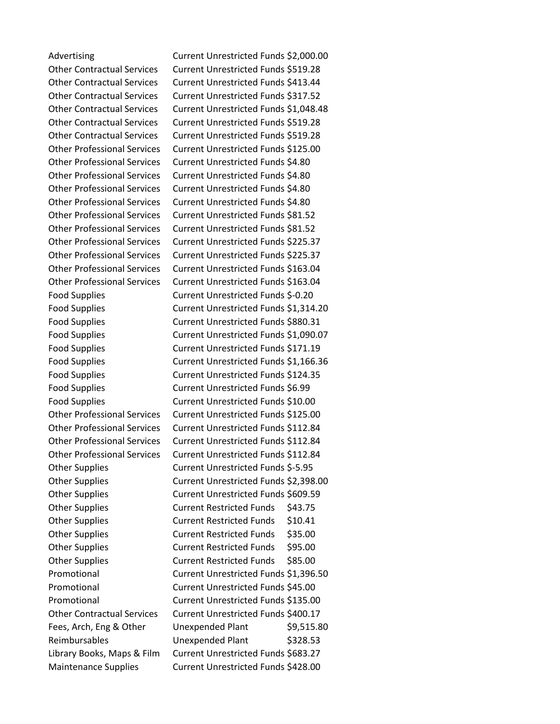Advertising Current Unrestricted Funds \$2,000.00 Other Contractual Services Current Unrestricted Funds \$519.28 Other Contractual Services Current Unrestricted Funds \$413.44 Other Contractual Services Current Unrestricted Funds \$317.52 Other Contractual Services Current Unrestricted Funds \$1,048.48 Other Contractual Services Current Unrestricted Funds \$519.28 Other Contractual Services Current Unrestricted Funds \$519.28 Other Professional Services Current Unrestricted Funds \$125.00 Other Professional Services Current Unrestricted Funds \$4.80 Other Professional Services Current Unrestricted Funds \$4.80 Other Professional Services Current Unrestricted Funds \$4.80 Other Professional Services Current Unrestricted Funds \$4.80 Other Professional Services Current Unrestricted Funds \$81.52 Other Professional Services Current Unrestricted Funds \$81.52 Other Professional Services Current Unrestricted Funds \$225.37 Other Professional Services Current Unrestricted Funds \$225.37 Other Professional Services Current Unrestricted Funds \$163.04 Other Professional Services Current Unrestricted Funds \$163.04 Food Supplies Current Unrestricted Funds \$-0.20 Food Supplies Current Unrestricted Funds \$1,314.20 Food Supplies Current Unrestricted Funds \$880.31 Food Supplies Current Unrestricted Funds \$1,090.07 Food Supplies **Current Unrestricted Funds \$171.19** Food Supplies Current Unrestricted Funds \$1,166.36 Food Supplies Current Unrestricted Funds \$124.35 Food Supplies **Current Unrestricted Funds \$6.99** Food Supplies Current Unrestricted Funds \$10.00 Other Professional Services Current Unrestricted Funds \$125.00 Other Professional Services Current Unrestricted Funds \$112.84 Other Professional Services Current Unrestricted Funds \$112.84 Other Professional Services Current Unrestricted Funds \$112.84 Other Supplies Current Unrestricted Funds \$-5.95 Other Supplies Current Unrestricted Funds \$2,398.00 Other Supplies Current Unrestricted Funds \$609.59 Other Supplies Current Restricted Funds \$43.75 Other Supplies Current Restricted Funds \$10.41 Other Supplies Current Restricted Funds \$35.00 Other Supplies Current Restricted Funds \$95.00 Other Supplies Current Restricted Funds \$85.00 Promotional Current Unrestricted Funds \$1,396.50 Promotional Current Unrestricted Funds \$45.00 Promotional Current Unrestricted Funds \$135.00 Other Contractual Services Current Unrestricted Funds \$400.17 Fees, Arch, Eng & Other Unexpended Plant \$9,515.80 Reimbursables Unexpended Plant \$328.53 Library Books, Maps & Film Current Unrestricted Funds \$683.27 Maintenance Supplies Current Unrestricted Funds \$428.00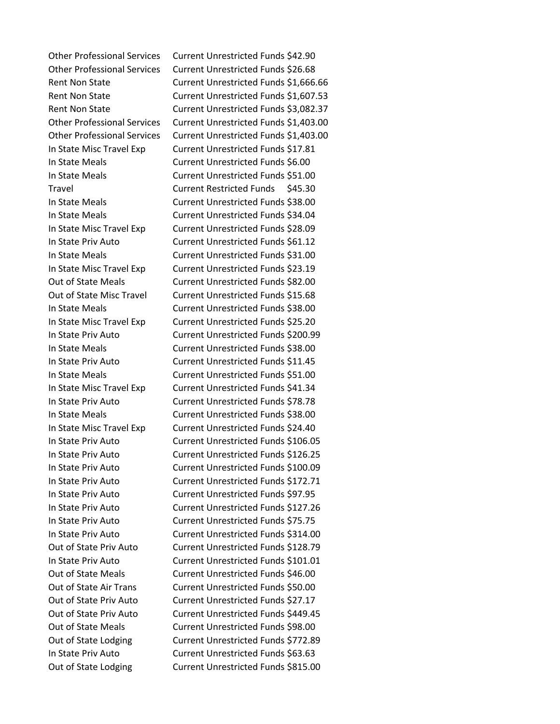Other Professional Services Current Unrestricted Funds \$42.90 Other Professional Services Current Unrestricted Funds \$26.68 Rent Non State Current Unrestricted Funds \$1,666.66 Rent Non State Current Unrestricted Funds \$1,607.53 Rent Non State **Current Unrestricted Funds \$3,082.37** Other Professional Services Current Unrestricted Funds \$1,403.00 Other Professional Services Current Unrestricted Funds \$1,403.00 In State Misc Travel Exp Current Unrestricted Funds \$17.81 In State Meals Current Unrestricted Funds \$6.00 In State Meals Current Unrestricted Funds \$51.00 Travel Current Restricted Funds \$45.30 In State Meals Current Unrestricted Funds \$38.00 In State Meals Current Unrestricted Funds \$34.04 In State Misc Travel Exp Current Unrestricted Funds \$28.09 In State Priv Auto Current Unrestricted Funds \$61.12 In State Meals Current Unrestricted Funds \$31.00 In State Misc Travel Exp Current Unrestricted Funds \$23.19 Out of State Meals Current Unrestricted Funds \$82.00 Out of State Misc Travel Current Unrestricted Funds \$15.68 In State Meals Current Unrestricted Funds \$38.00 In State Misc Travel Exp Current Unrestricted Funds \$25.20 In State Priv Auto Current Unrestricted Funds \$200.99 In State Meals Current Unrestricted Funds \$38.00 In State Priv Auto Current Unrestricted Funds \$11.45 In State Meals Current Unrestricted Funds \$51.00 In State Misc Travel Exp Current Unrestricted Funds \$41.34 In State Priv Auto Current Unrestricted Funds \$78.78 In State Meals Current Unrestricted Funds \$38.00 In State Misc Travel Exp Current Unrestricted Funds \$24.40 In State Priv Auto Current Unrestricted Funds \$106.05 In State Priv Auto Current Unrestricted Funds \$126.25 In State Priv Auto Current Unrestricted Funds \$100.09 In State Priv Auto Current Unrestricted Funds \$172.71 In State Priv Auto Current Unrestricted Funds \$97.95 In State Priv Auto Current Unrestricted Funds \$127.26 In State Priv Auto Current Unrestricted Funds \$75.75 In State Priv Auto Current Unrestricted Funds \$314.00 Out of State Priv Auto Current Unrestricted Funds \$128.79 In State Priv Auto Current Unrestricted Funds \$101.01 Out of State Meals Current Unrestricted Funds \$46.00 Out of State Air Trans Current Unrestricted Funds \$50.00 Out of State Priv Auto Current Unrestricted Funds \$27.17 Out of State Priv Auto Current Unrestricted Funds \$449.45 Out of State Meals Current Unrestricted Funds \$98.00 Out of State Lodging Current Unrestricted Funds \$772.89 In State Priv Auto Current Unrestricted Funds \$63.63 Out of State Lodging Current Unrestricted Funds \$815.00